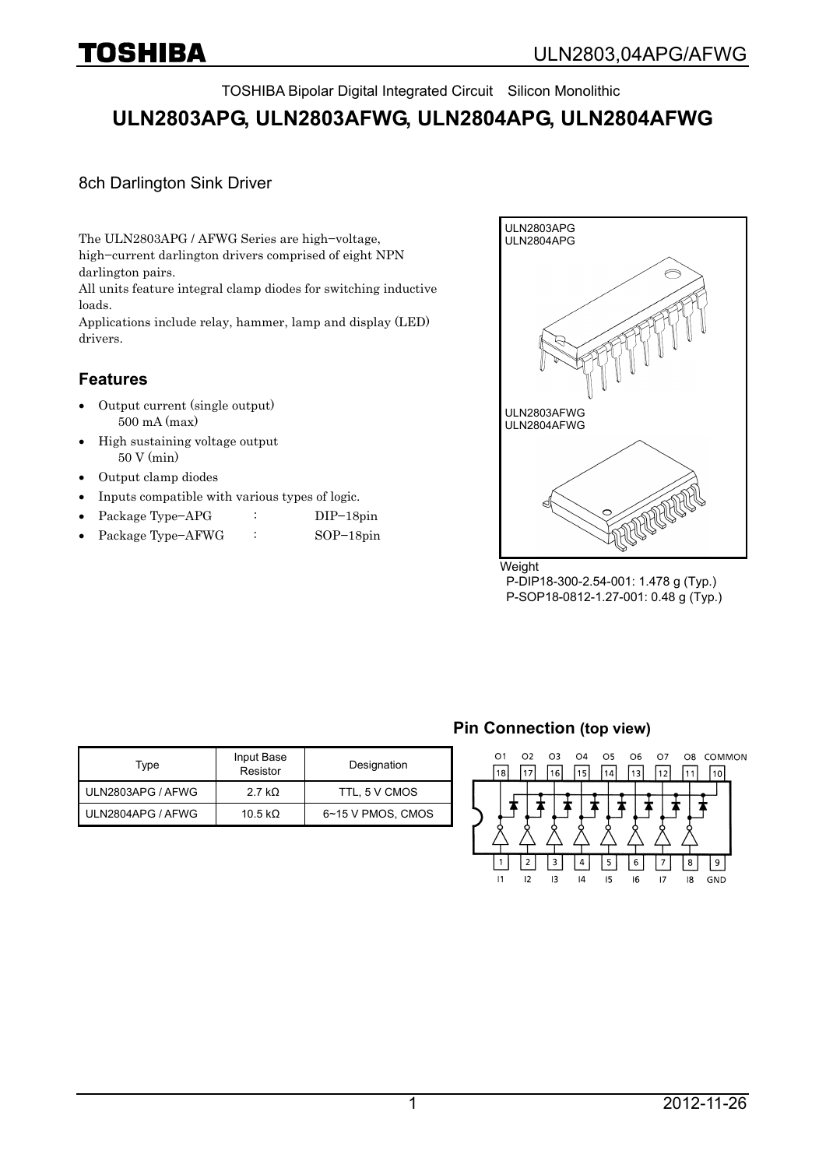TOSHIBA Bipolar Digital Integrated Circuit Silicon Monolithic

# **ULN2803APG, ULN2803AFWG, ULN2804APG, ULN2804AFWG**

### 8ch Darlington Sink Driver

The ULN2803APG / AFWG Series are high−voltage, high−current darlington drivers comprised of eight NPN darlington pairs.

All units feature integral clamp diodes for switching inductive loads.

Applications include relay, hammer, lamp and display (LED) drivers.

## **Features**

- Output current (single output) 500 mA (max)
- High sustaining voltage output 50 V (min)
- Output clamp diodes
- Inputs compatible with various types of logic.
- Package Type−APG : DIP−18pin
- Package Type−AFWG : SOP−18pin



 P-DIP18-300-2.54-001: 1.478 g (Typ.) P-SOP18-0812-1.27-001: 0.48 g (Typ.)

| Type              | Input Base<br>Resistor | Designation       |
|-------------------|------------------------|-------------------|
| ULN2803APG / AFWG | 2.7 k $\Omega$         | TTL, 5 V CMOS     |
| ULN2804APG / AFWG | 10.5 k $\Omega$        | 6~15 V PMOS, CMOS |

### **Pin Connection (top view)**

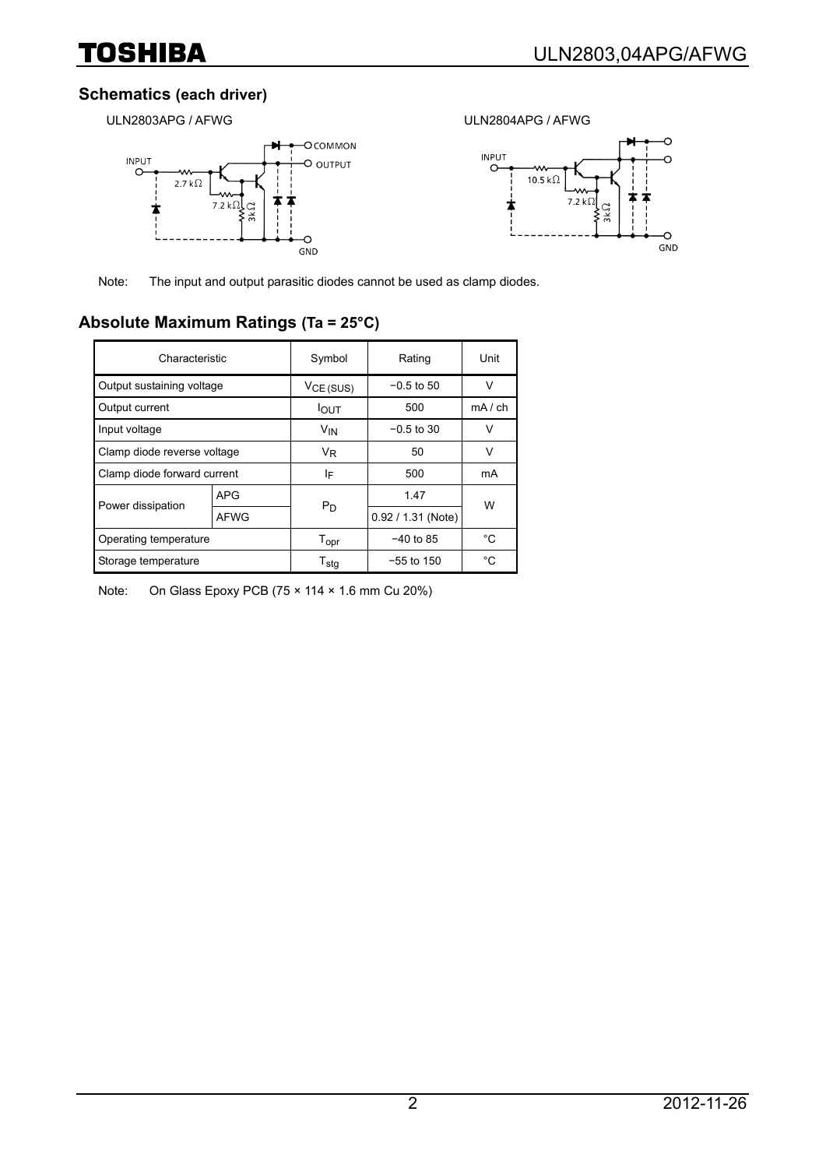## **Schematics (each driver)**

ULN2803APG / AFWG ULN2804APG / AFWG





Note: The input and output parasitic diodes cannot be used as clamp diodes.

# **Absolute Maximum Ratings (Ta = 25°C)**

| Characteristic              |            | Symbol                | Rating               | Unit        |  |
|-----------------------------|------------|-----------------------|----------------------|-------------|--|
| Output sustaining voltage   |            | V <sub>CE</sub> (SUS) | $-0.5$ to 50         | V           |  |
| Output current              |            | <b>I</b> OUT          | 500                  | $mA$ / $ch$ |  |
| Input voltage               |            | V <sub>IN</sub>       | $-0.5$ to 30         | V           |  |
| Clamp diode reverse voltage |            | V <sub>R</sub>        | 50                   | V           |  |
| Clamp diode forward current |            | ΙF                    | 500                  | mA          |  |
| Power dissipation           | <b>APG</b> | $P_D$                 | 1.47                 | W           |  |
|                             | AFWG       |                       | $0.92 / 1.31$ (Note) |             |  |
| Operating temperature       |            | $T_{\text{opr}}$      | $-40$ to 85          | °C          |  |
| Storage temperature         |            | $T_{\text{stg}}$      | $-55$ to 150         | °C          |  |

Note: On Glass Epoxy PCB (75 × 114 × 1.6 mm Cu 20%)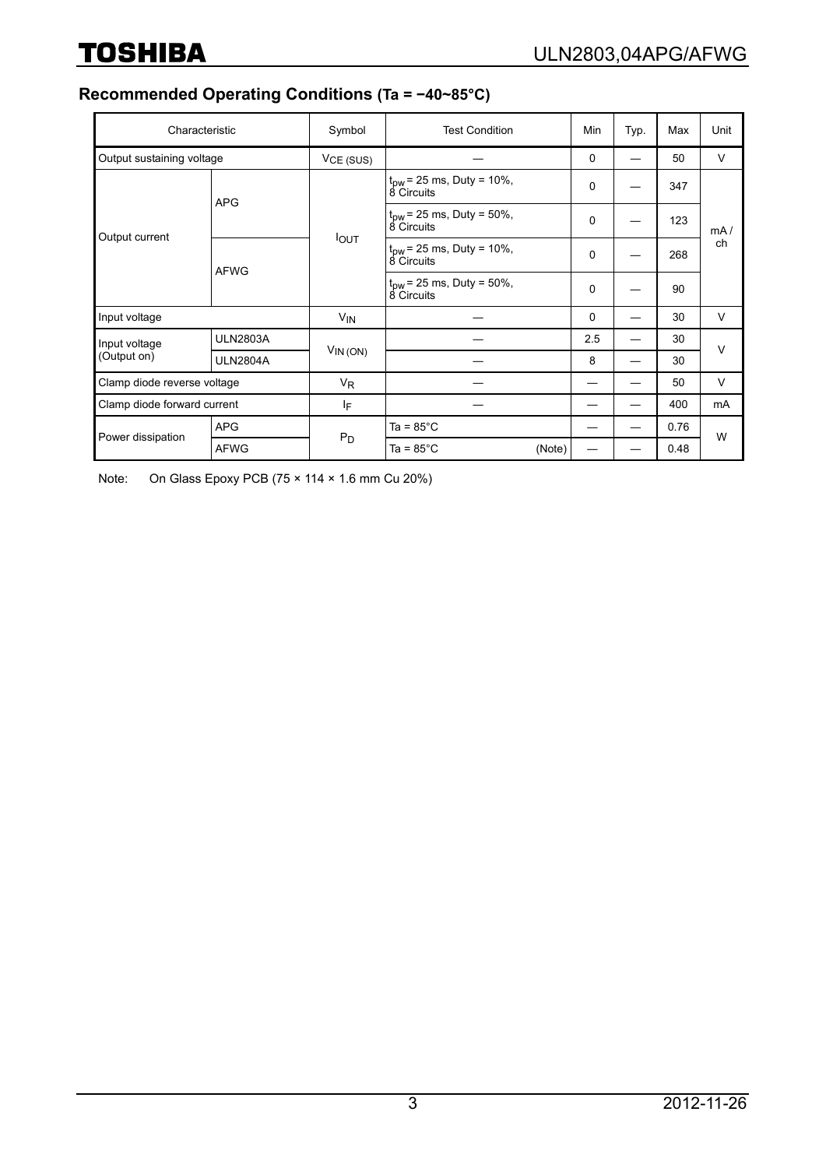# **Recommended Operating Conditions (Ta = −40~85°C)**

| Characteristic               |                 | Symbol           | <b>Test Condition</b>                              | Min         | Typ. | Max  | Unit      |  |
|------------------------------|-----------------|------------------|----------------------------------------------------|-------------|------|------|-----------|--|
| Output sustaining voltage    |                 | $VCE$ (SUS)      |                                                    | $\mathbf 0$ |      | 50   | V         |  |
| Output current               | <b>APG</b>      | I <sub>OUT</sub> | $t_{\text{DW}}$ = 25 ms, Duty = 10%,<br>8 Circuits | 0           |      | 347  |           |  |
|                              |                 |                  | $t_{\text{DW}}$ = 25 ms, Duty = 50%,<br>8 Circuits | 0           |      | 123  | mA/<br>ch |  |
|                              | <b>AFWG</b>     |                  | $t_{\text{DW}}$ = 25 ms, Duty = 10%,<br>8 Circuits | 0           |      | 268  |           |  |
|                              |                 |                  | $t_{\text{pw}}$ = 25 ms, Duty = 50%,<br>8 Circuits | 0           |      | 90   |           |  |
| Input voltage                |                 | $V_{IN}$         |                                                    | 0           |      | 30   | V         |  |
| Input voltage<br>(Output on) | <b>ULN2803A</b> |                  |                                                    | 2.5         |      | 30   | $\vee$    |  |
|                              | <b>ULN2804A</b> | $V_{IN(ON)}$     |                                                    | 8           |      | 30   |           |  |
| Clamp diode reverse voltage  |                 | $V_{R}$          |                                                    |             |      | 50   | V         |  |
| Clamp diode forward current  |                 | ΙF               |                                                    |             |      | 400  | mA        |  |
| Power dissipation            | <b>APG</b>      | $P_D$            | Ta = $85^{\circ}$ C                                |             |      | 0.76 | W         |  |
|                              | <b>AFWG</b>     |                  | Ta = $85^{\circ}$ C<br>(Note)                      |             |      | 0.48 |           |  |

Note: On Glass Epoxy PCB (75 × 114 × 1.6 mm Cu 20%)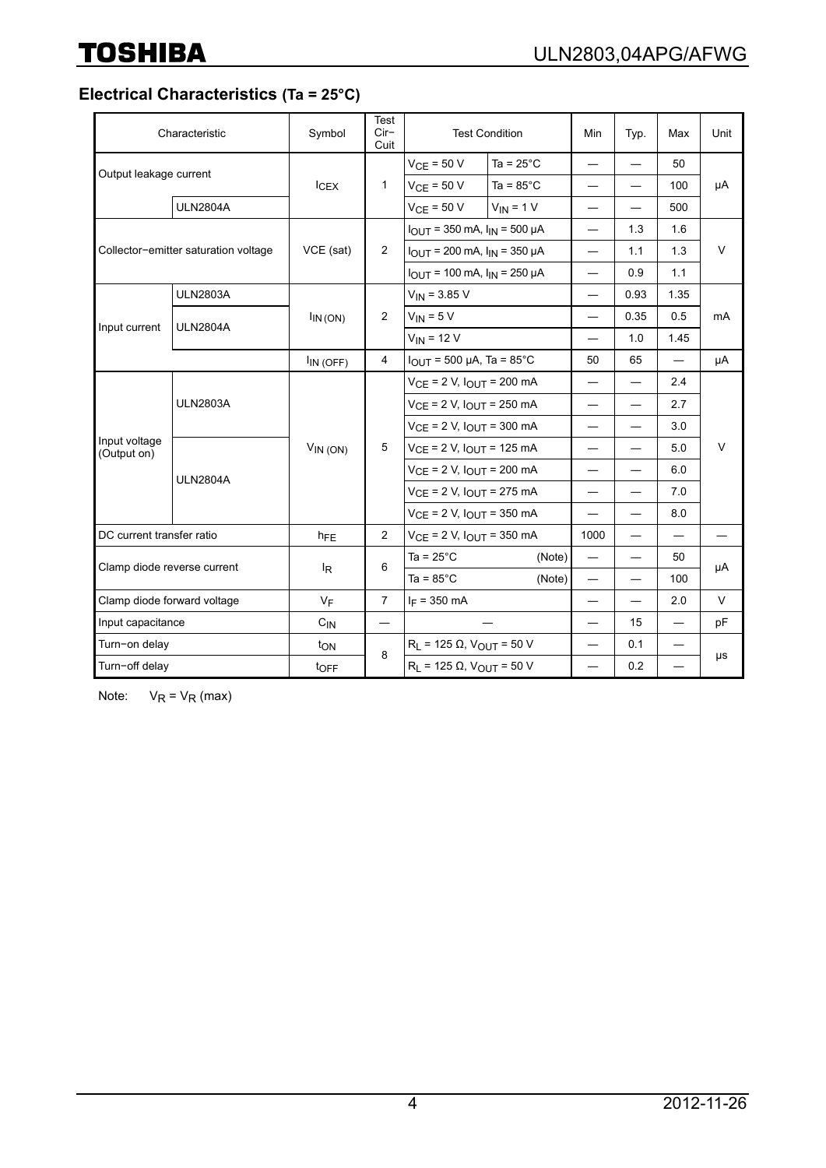**Electrical Characteristics (Ta = 25°C)**

|                                      | Characteristic    | Symbol                          | <b>Test</b><br>$Cir-$<br>Cuit | <b>Test Condition</b>                                                                                          |                     | Min                              | Typ.                     | Max                      | Unit   |
|--------------------------------------|-------------------|---------------------------------|-------------------------------|----------------------------------------------------------------------------------------------------------------|---------------------|----------------------------------|--------------------------|--------------------------|--------|
| Output leakage current               |                   | $I_{CEX}$                       | $\mathbf{1}$                  | $VCE = 50 V$                                                                                                   | Ta = $25^{\circ}$ C | $\overbrace{\phantom{12321111}}$ |                          | 50                       | μA     |
|                                      |                   |                                 |                               | $VCE = 50 V$                                                                                                   | Ta = $85^{\circ}$ C | $\overline{\phantom{0}}$         |                          | 100                      |        |
|                                      | <b>ULN2804A</b>   |                                 |                               | $VCE = 50 V$                                                                                                   | $V_{IN} = 1 V$      | $\overline{\phantom{0}}$         |                          | 500                      |        |
| Collector-emitter saturation voltage |                   | VCE (sat)                       | $\overline{2}$                | $I_{\text{OUT}}$ = 350 mA, $I_{\text{IN}}$ = 500 µA                                                            |                     |                                  | 1.3                      | 1.6                      |        |
|                                      |                   |                                 |                               | $I_{OUT}$ = 200 mA, $I_{IN}$ = 350 µA<br>$I_{\text{OUT}}$ = 100 mA, $I_{\text{IN}}$ = 250 µA                   |                     |                                  | 1.1                      | 1.3                      | $\vee$ |
|                                      |                   |                                 |                               |                                                                                                                |                     |                                  | 0.9                      | 1.1                      |        |
|                                      | <b>ULN2803A</b>   |                                 |                               | $V_{IN}$ = 3.85 V                                                                                              |                     |                                  | 0.93                     | 1.35                     |        |
|                                      | <b>ULN2804A</b>   | $\mathsf{I}_{\mathsf{IN}}$ (ON) | $\overline{2}$                | $V_{IN}$ = 5 V                                                                                                 |                     | $\overline{\phantom{0}}$         | 0.35                     | 0.5                      | mA     |
| Input current                        |                   |                                 |                               | $V_{IN}$ = 12 V                                                                                                |                     | $\overbrace{\phantom{12321111}}$ | 1.0                      | 1.45                     |        |
|                                      |                   | $I_{IN(OFF)}$                   | $\overline{4}$                | $I_{OUT}$ = 500 µA, Ta = 85°C                                                                                  |                     | 50                               | 65                       |                          | μA     |
|                                      | <b>ULN2803A</b>   | $V_{IN}$ (ON)                   | 5                             | $V_{CE}$ = 2 V, $I_{OUT}$ = 200 mA                                                                             |                     | $\overline{\phantom{0}}$         |                          | 2.4                      | V      |
|                                      |                   |                                 |                               | $V_{CE}$ = 2 V, $I_{OUT}$ = 250 mA                                                                             |                     |                                  |                          | 2.7                      |        |
|                                      |                   |                                 |                               | $V_{CE}$ = 2 V, $I_{OUT}$ = 300 mA                                                                             |                     | $\overline{\phantom{0}}$         |                          | 3.0                      |        |
| Input voltage<br>(Output on)         | <b>ULN2804A</b>   |                                 |                               | $V_{CE}$ = 2 V, $I_{OUT}$ = 125 mA                                                                             |                     |                                  |                          | 5.0                      |        |
|                                      |                   |                                 |                               | $V_{CE}$ = 2 V, $I_{OUT}$ = 200 mA<br>$V_{CE}$ = 2 V, $I_{OUT}$ = 275 mA<br>$V_{CE}$ = 2 V, $I_{OUT}$ = 350 mA |                     | $\overline{\phantom{0}}$         |                          | 6.0                      |        |
|                                      |                   |                                 |                               |                                                                                                                |                     |                                  | $\overline{\phantom{0}}$ | 7.0                      |        |
|                                      |                   |                                 |                               |                                                                                                                |                     | $\qquad \qquad$                  |                          | 8.0                      |        |
| DC current transfer ratio            |                   | $h_{FE}$                        | $\overline{2}$                | $V_{CE}$ = 2 V, $I_{OUT}$ = 350 mA                                                                             |                     | 1000                             | $\overline{\phantom{0}}$ | $\overline{\phantom{0}}$ |        |
| Clamp diode reverse current          |                   | l <sub>R</sub>                  | 6                             | Ta = $25^{\circ}$ C                                                                                            | (Note)              | $\overline{\phantom{0}}$         |                          | 50                       | μA     |
|                                      |                   |                                 |                               | Ta = $85^{\circ}$ C                                                                                            | (Note)              |                                  |                          | 100                      |        |
| Clamp diode forward voltage          |                   | $V_F$                           | $\overline{7}$                | $I_F = 350$ mA                                                                                                 |                     |                                  |                          | 2.0                      | $\vee$ |
|                                      | Input capacitance |                                 | $\overline{\phantom{0}}$      |                                                                                                                |                     | $\overline{\phantom{0}}$         | 15                       | $\overline{\phantom{0}}$ | pF     |
| Turn-on delay                        |                   | ton                             | 8                             | $R_L$ = 125 $\Omega$ , $V_{OUT}$ = 50 V<br>$R_L$ = 125 $\Omega$ , $V_{OUT}$ = 50 V                             |                     |                                  | 0.1                      | $\overline{\phantom{0}}$ | μs     |
| Turn-off delay                       |                   | toFF                            |                               |                                                                                                                |                     |                                  | 0.2                      | $\overline{\phantom{0}}$ |        |

Note:  $V_R = V_R$  (max)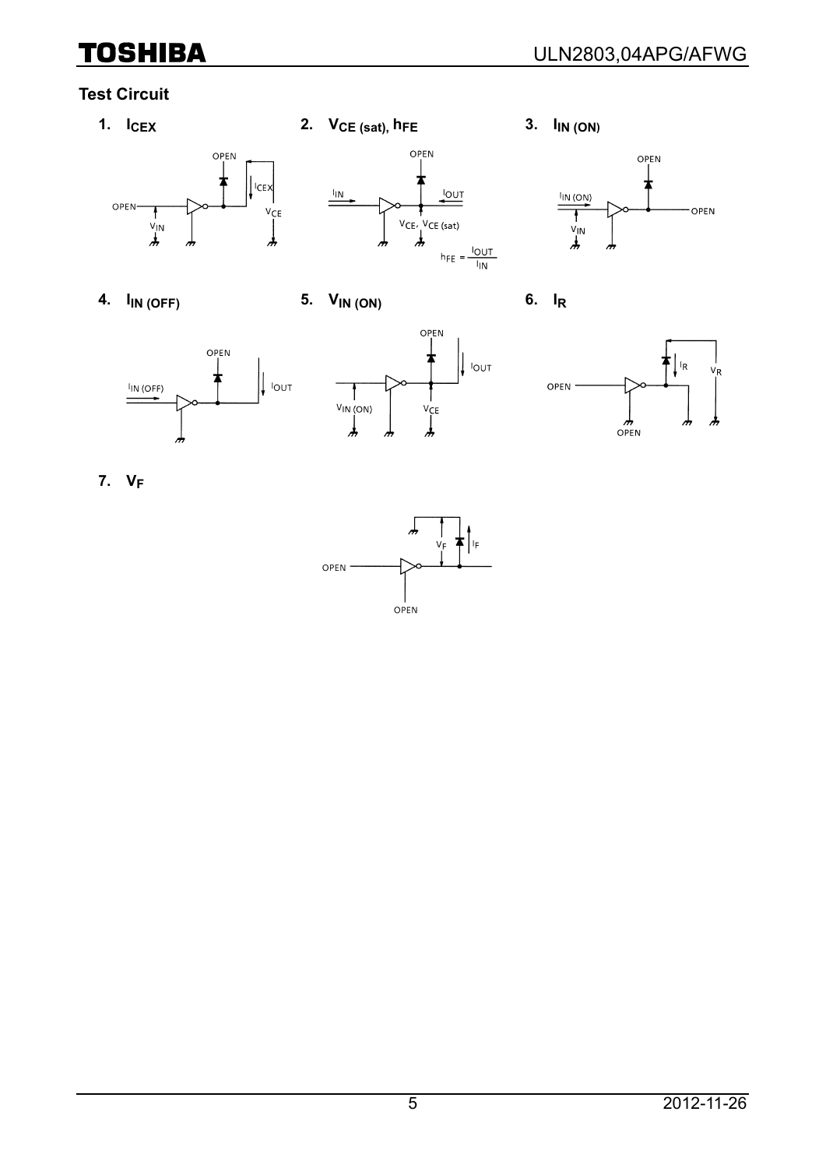# **Test Circuit**



















**7. VF**

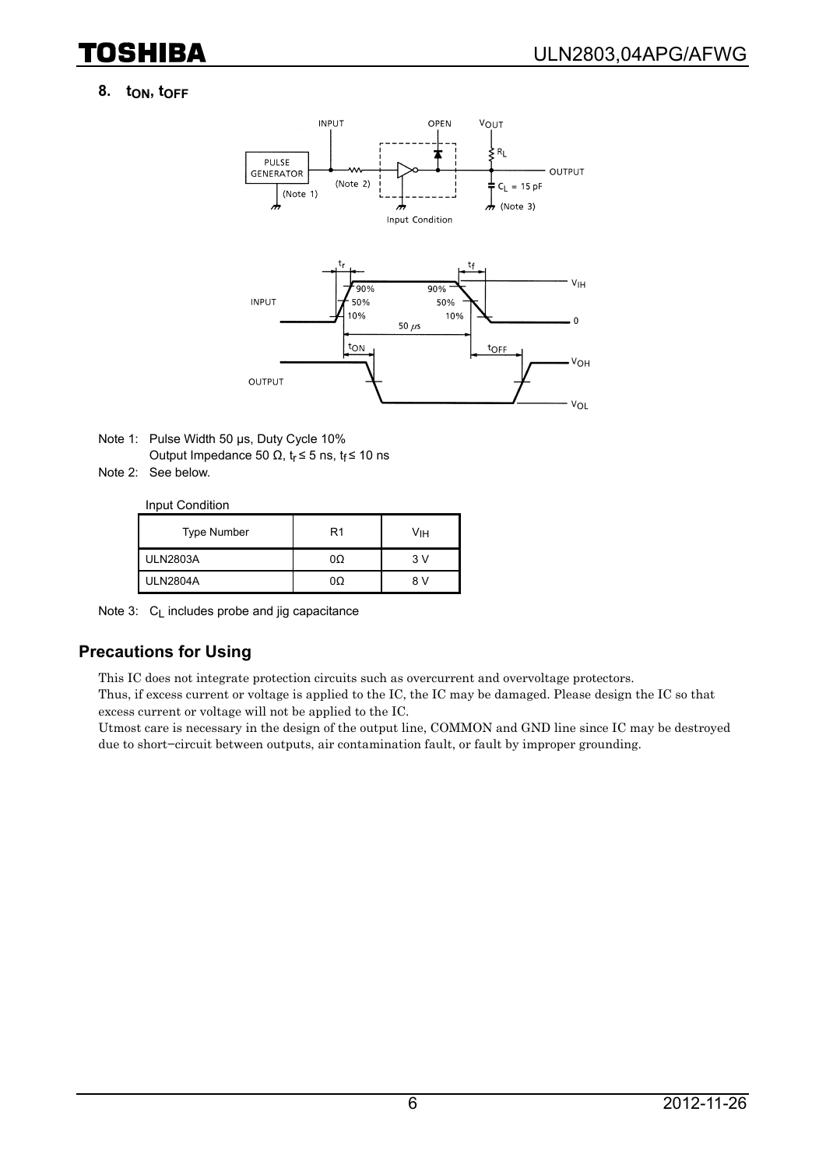## 8. t<sub>ON</sub>, t<sub>OFF</sub>

TOSHIBA



- Note 1: Pulse Width 50 μs, Duty Cycle 10% Output Impedance 50 Ω,  $t_r$  ≤ 5 ns,  $t_f$  ≤ 10 ns
- Note 2: See below.

Input Condition

| <b>Type Number</b> | R1 | νін |
|--------------------|----|-----|
| <b>ULN2803A</b>    | 0Ω | 3 V |
| <b>ULN2804A</b>    | 0Ω | 8 V |

Note 3: C<sub>L</sub> includes probe and jig capacitance

#### **Precautions for Using**

This IC does not integrate protection circuits such as overcurrent and overvoltage protectors.

Thus, if excess current or voltage is applied to the IC, the IC may be damaged. Please design the IC so that excess current or voltage will not be applied to the IC.

Utmost care is necessary in the design of the output line, COMMON and GND line since IC may be destroyed due to short−circuit between outputs, air contamination fault, or fault by improper grounding.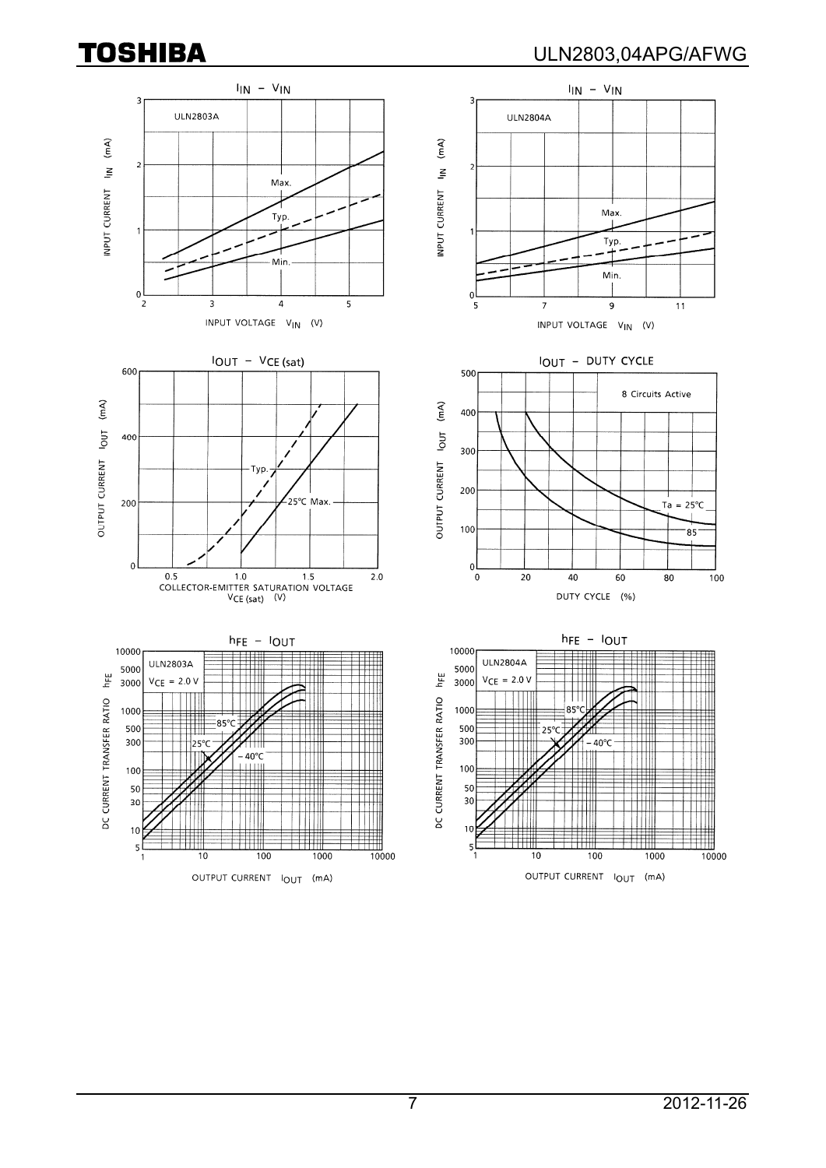$\overline{\mathbf{3}}$ 

ಾ

 $\langle mA\rangle$ 

 $\tilde{z}$ 

**ULN2803A** 



 $\overline{7}$ 

 $\mathfrak{g}$ 

500

400

 $10$ 

5

-5



 $I_{IN} - V_{IN}$ 

Max

Typ.









Ш

OUTPUT CURRENT IOUT (mA)

Typ.

Min.

 $\overline{9}$ 

INPUT VOLTAGE VIN (V)

IOUT - DUTY CYCLE

 $11$ 

100

10000

8 Circuits Active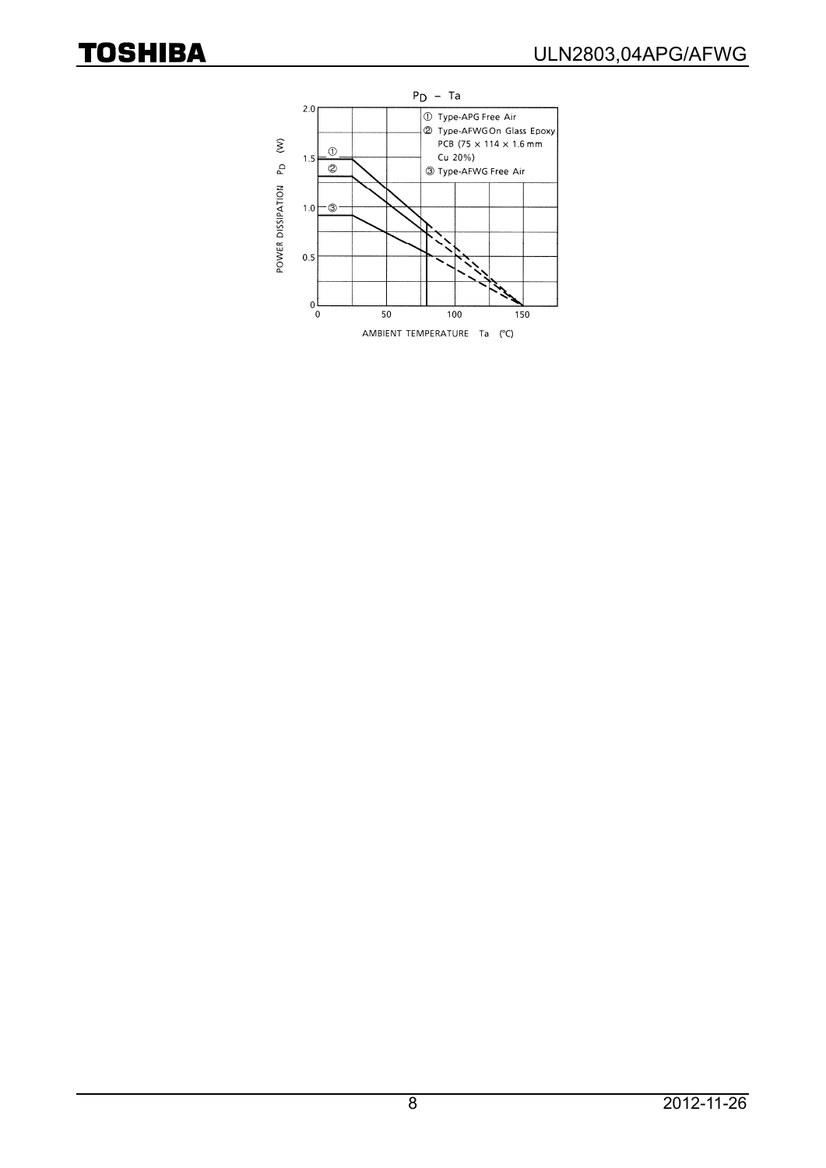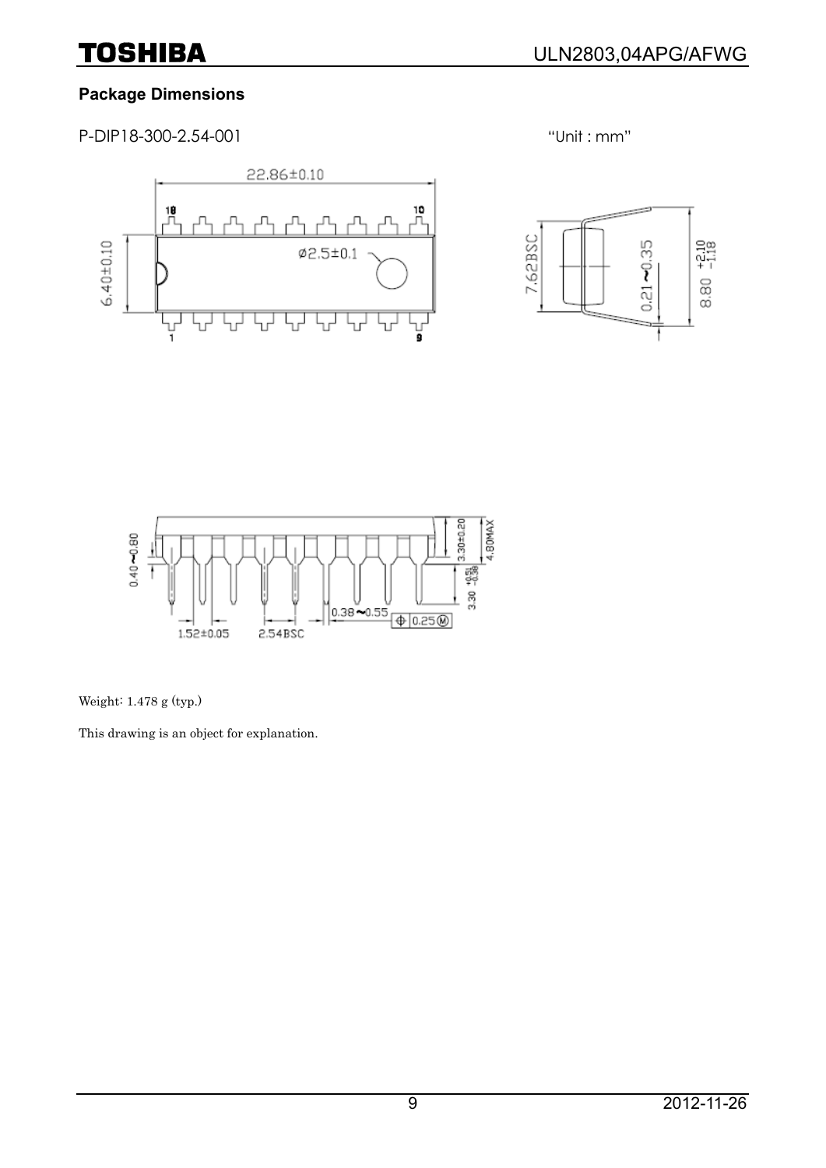# **Package Dimensions**

P-DIP18-300-2.54-001 "Unit : mm"







Weight: 1.478 g (typ.)

This drawing is an object for explanation.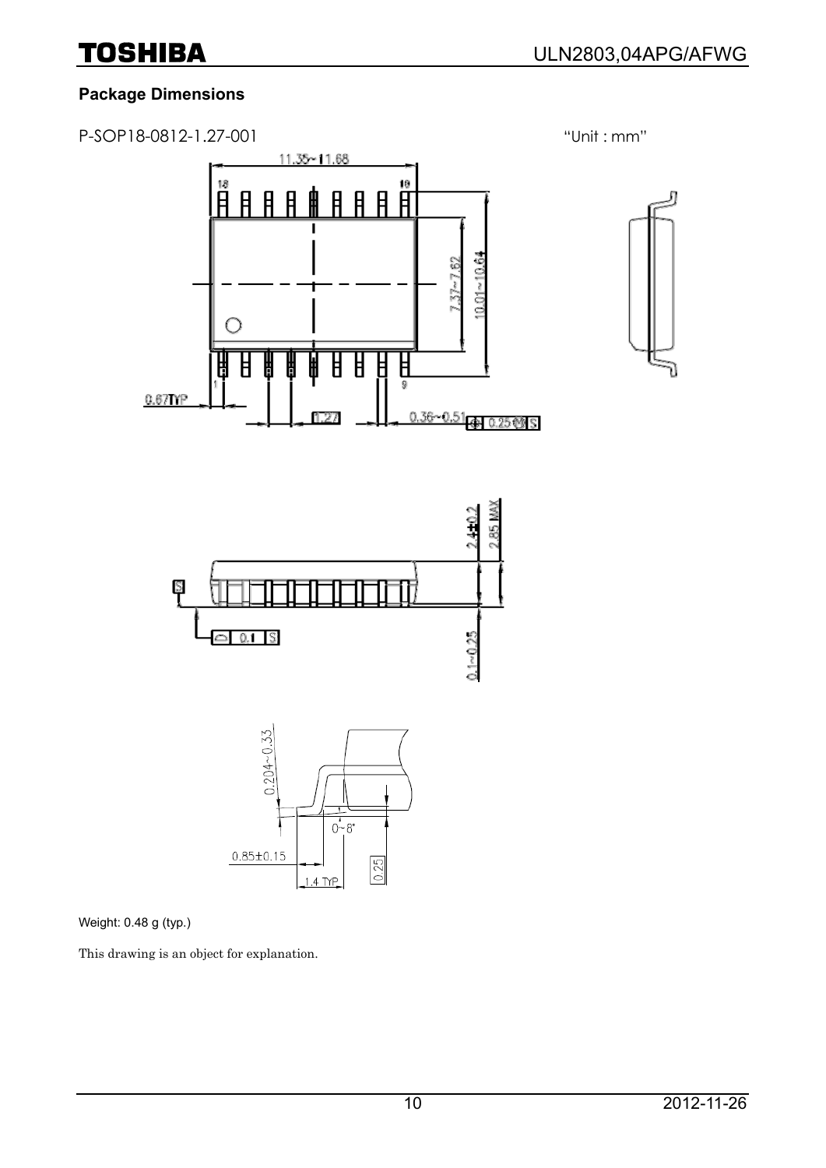# **Package Dimensions**



Weight: 0.48 g (typ.)

This drawing is an object for explanation.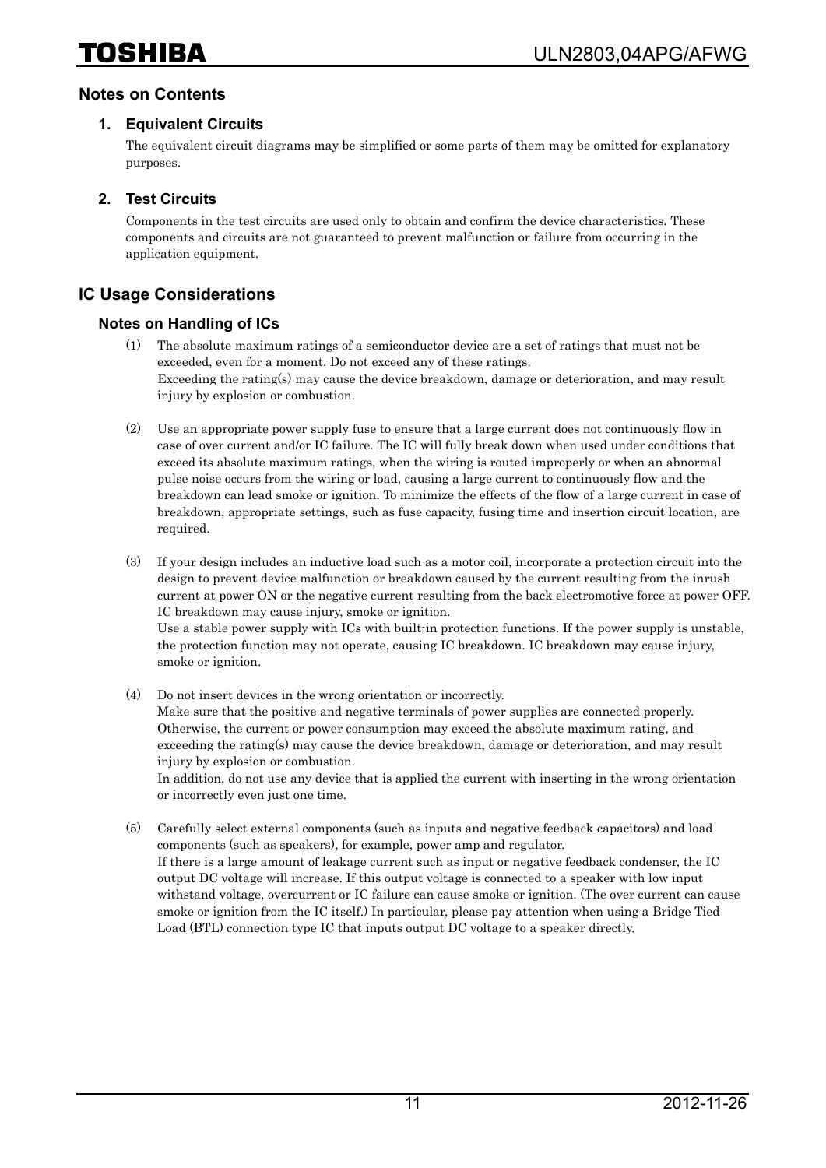#### **Notes on Contents**

#### **1. Equivalent Circuits**

The equivalent circuit diagrams may be simplified or some parts of them may be omitted for explanatory purposes.

#### **2. Test Circuits**

Components in the test circuits are used only to obtain and confirm the device characteristics. These components and circuits are not guaranteed to prevent malfunction or failure from occurring in the application equipment.

#### **IC Usage Considerations**

#### **Notes on Handling of ICs**

- (1) The absolute maximum ratings of a semiconductor device are a set of ratings that must not be exceeded, even for a moment. Do not exceed any of these ratings. Exceeding the rating(s) may cause the device breakdown, damage or deterioration, and may result injury by explosion or combustion.
- (2) Use an appropriate power supply fuse to ensure that a large current does not continuously flow in case of over current and/or IC failure. The IC will fully break down when used under conditions that exceed its absolute maximum ratings, when the wiring is routed improperly or when an abnormal pulse noise occurs from the wiring or load, causing a large current to continuously flow and the breakdown can lead smoke or ignition. To minimize the effects of the flow of a large current in case of breakdown, appropriate settings, such as fuse capacity, fusing time and insertion circuit location, are required.
- (3) If your design includes an inductive load such as a motor coil, incorporate a protection circuit into the design to prevent device malfunction or breakdown caused by the current resulting from the inrush current at power ON or the negative current resulting from the back electromotive force at power OFF. IC breakdown may cause injury, smoke or ignition. Use a stable power supply with ICs with built-in protection functions. If the power supply is unstable, the protection function may not operate, causing IC breakdown. IC breakdown may cause injury, smoke or ignition.
- (4) Do not insert devices in the wrong orientation or incorrectly. Make sure that the positive and negative terminals of power supplies are connected properly. Otherwise, the current or power consumption may exceed the absolute maximum rating, and exceeding the rating(s) may cause the device breakdown, damage or deterioration, and may result injury by explosion or combustion. In addition, do not use any device that is applied the current with inserting in the wrong orientation or incorrectly even just one time.
- (5) Carefully select external components (such as inputs and negative feedback capacitors) and load components (such as speakers), for example, power amp and regulator. If there is a large amount of leakage current such as input or negative feedback condenser, the IC output DC voltage will increase. If this output voltage is connected to a speaker with low input withstand voltage, overcurrent or IC failure can cause smoke or ignition. (The over current can cause smoke or ignition from the IC itself.) In particular, please pay attention when using a Bridge Tied Load (BTL) connection type IC that inputs output DC voltage to a speaker directly.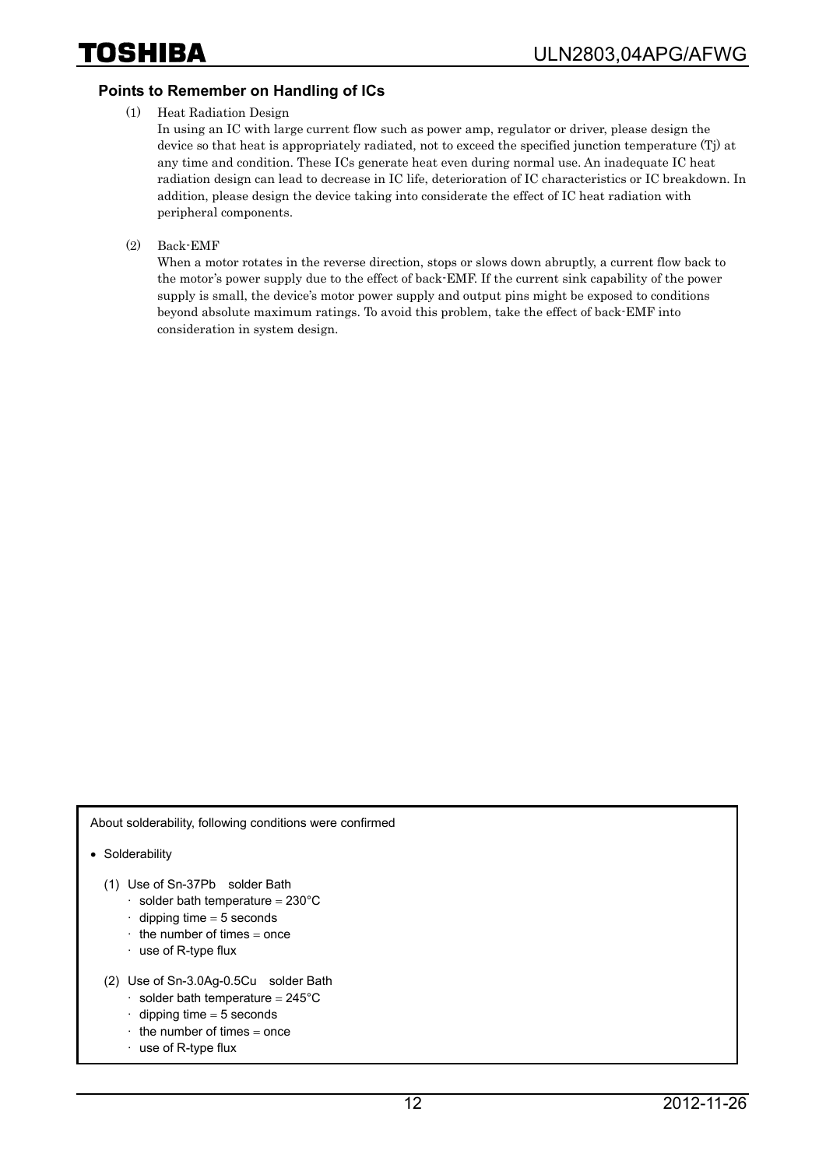#### **Points to Remember on Handling of ICs**

(1) Heat Radiation Design

In using an IC with large current flow such as power amp, regulator or driver, please design the device so that heat is appropriately radiated, not to exceed the specified junction temperature (Tj) at any time and condition. These ICs generate heat even during normal use. An inadequate IC heat radiation design can lead to decrease in IC life, deterioration of IC characteristics or IC breakdown. In addition, please design the device taking into considerate the effect of IC heat radiation with peripheral components.

(2) Back-EMF

When a motor rotates in the reverse direction, stops or slows down abruptly, a current flow back to the motor's power supply due to the effect of back-EMF. If the current sink capability of the power supply is small, the device's motor power supply and output pins might be exposed to conditions beyond absolute maximum ratings. To avoid this problem, take the effect of back-EMF into consideration in system design.

About solderability, following conditions were confirmed

• Solderability

- (1) Use of Sn-37Pb solder Bath
	- $\cdot$  solder bath temperature = 230°C
	- $\cdot$  dipping time = 5 seconds
	- the number of times  $=$  once
	- · use of R-type flux
- (2) Use of Sn-3.0Ag-0.5Cu solder Bath
	- $\cdot$  solder bath temperature = 245°C
	- $\cdot$  dipping time = 5 seconds
	- $\cdot$  the number of times = once
	- · use of R-type flux